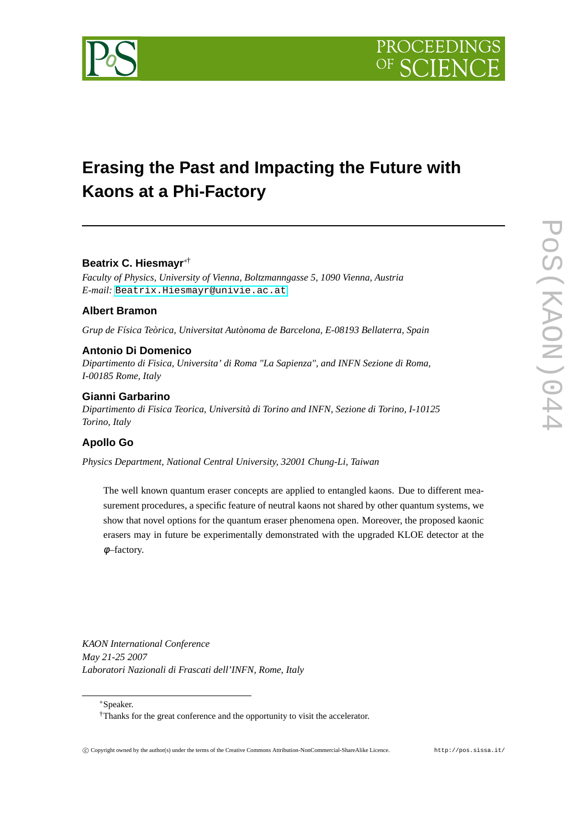

# **Erasing the Past and Impacting the Future with Kaons at a Phi-Factory**

# **Beatrix C. Hiesmayr**∗†

*Faculty of Physics, University of Vienna, Boltzmanngasse 5, 1090 Vienna, Austria E-mail:* [Beatrix.Hiesmayr@univie.ac.at](mailto:Beatrix.Hiesmayr@univie.ac.at)

### **Albert Bramon**

*Grup de Física Teòrica, Universitat Autònoma de Barcelona, E-08193 Bellaterra, Spain*

### **Antonio Di Domenico**

*Dipartimento di Fisica, Universita' di Roma "La Sapienza", and INFN Sezione di Roma, I-00185 Rome, Italy*

### **Gianni Garbarino**

*Dipartimento di Fisica Teorica, Università di Torino and INFN, Sezione di Torino, I-10125 Torino, Italy*

### **Apollo Go**

*Physics Department, National Central University, 32001 Chung-Li, Taiwan*

The well known quantum eraser concepts are applied to entangled kaons. Due to different measurement procedures, a specific feature of neutral kaons not shared by other quantum systems, we show that novel options for the quantum eraser phenomena open. Moreover, the proposed kaonic erasers may in future be experimentally demonstrated with the upgraded KLOE detector at the φ–factory.

*KAON International Conference May 21-25 2007 Laboratori Nazionali di Frascati dell'INFN, Rome, Italy*

<sup>∗</sup>Speaker.

<sup>†</sup>Thanks for the great conference and the opportunity to visit the accelerator.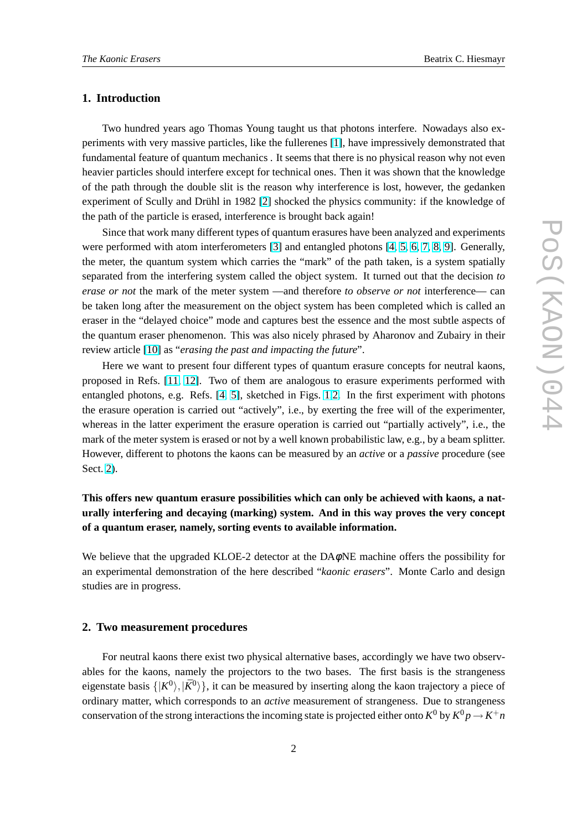### **1. Introduction**

Two hundred years ago Thomas Young taught us that photons interfere. Nowadays also experiments with very massive particles, like the fullerenes [\[1\]](#page-8-0), have impressively demonstrated that fundamental feature of quantum mechanics . It seems that there is no physical reason why not even heavier particles should interfere except for technical ones. Then it was shown that the knowledge of the path through the double slit is the reason why interference is lost, however, the gedanken experiment of Scully and Drühl in 1982 [\[2\]](#page-8-0) shocked the physics community: if the knowledge of the path of the particle is erased, interference is brought back again!

Since that work many different types of quantum erasures have been analyzed and experiments were performed with atom interferometers [\[3\]](#page-8-0) and entangled photons [\[4,](#page-8-0) [5,](#page-8-0) [6,](#page-8-0) [7,](#page-8-0) [8,](#page-8-0) [9\]](#page-8-0). Generally, the meter, the quantum system which carries the "mark" of the path taken, is a system spatially separated from the interfering system called the object system. It turned out that the decision *to erase or not* the mark of the meter system —and therefore *to observe or not* interference— can be taken long after the measurement on the object system has been completed which is called an eraser in the "delayed choice" mode and captures best the essence and the most subtle aspects of the quantum eraser phenomenon. This was also nicely phrased by Aharonov and Zubairy in their review article [\[10\]](#page-8-0) as "*erasing the past and impacting the future*".

Here we want to present four different types of quantum erasure concepts for neutral kaons, proposed in Refs. [\[11,](#page-8-0) [12\]](#page-8-0). Two of them are analogous to erasure experiments performed with entangled photons, e.g. Refs. [\[4,](#page-8-0) [5\]](#page-8-0), sketched in Figs. [1](#page-2-0)[,2.](#page-4-0) In the first experiment with photons the erasure operation is carried out "actively", i.e., by exerting the free will of the experimenter, whereas in the latter experiment the erasure operation is carried out "partially actively", i.e., the mark of the meter system is erased or not by a well known probabilistic law, e.g., by a beam splitter. However, different to photons the kaons can be measured by an *active* or a *passive* procedure (see Sect. 2).

# **This offers new quantum erasure possibilities which can only be achieved with kaons, a naturally interfering and decaying (marking) system. And in this way proves the very concept of a quantum eraser, namely, sorting events to available information.**

We believe that the upgraded KLOE-2 detector at the  $DA\phi$ NE machine offers the possibility for an experimental demonstration of the here described "*kaonic erasers*". Monte Carlo and design studies are in progress.

#### **2. Two measurement procedures**

For neutral kaons there exist two physical alternative bases, accordingly we have two observables for the kaons, namely the projectors to the two bases. The first basis is the strangeness eigenstate basis  $\{ |K^0\rangle, |\bar{K}^0\rangle \}$ , it can be measured by inserting along the kaon trajectory a piece of ordinary matter, which corresponds to an *active* measurement of strangeness. Due to strangeness conservation of the strong interactions the incoming state is projected either onto  $K^0$  by  $K^0 p \to K^+ n$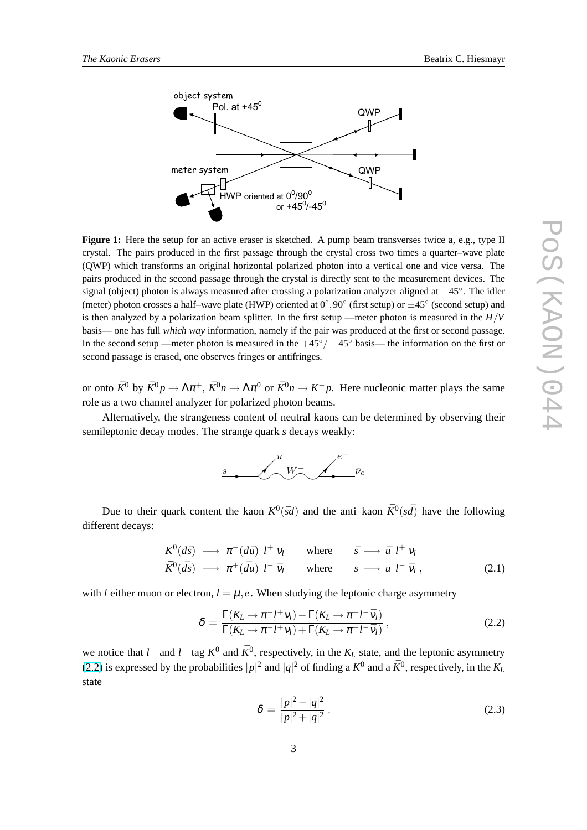<span id="page-2-0"></span>

**Figure 1:** Here the setup for an active eraser is sketched. A pump beam transverses twice a, e.g., type II crystal. The pairs produced in the first passage through the crystal cross two times a quarter–wave plate (QWP) which transforms an original horizontal polarized photon into a vertical one and vice versa. The pairs produced in the second passage through the crystal is directly sent to the measurement devices. The signal (object) photon is always measured after crossing a polarization analyzer aligned at +45°. The idler (meter) photon crosses a half–wave plate (HWP) oriented at  $0^{\circ}$ , 90 $^{\circ}$  (first setup) or  $\pm 45^{\circ}$  (second setup) and is then analyzed by a polarization beam splitter. In the first setup —meter photon is measured in the *H*/*V* basis— one has full *which way* information, namely if the pair was produced at the first or second passage. In the second setup —meter photon is measured in the  $+45°/-45°$  basis— the information on the first or second passage is erased, one observes fringes or antifringes.

or onto  $\bar{K}^0$  by  $\bar{K}^0 p \to \Lambda \pi^+$ ,  $\bar{K}^0 n \to \Lambda \pi^0$  or  $\bar{K}^0 n \to K^- p$ . Here nucleonic matter plays the same role as a two channel analyzer for polarized photon beams.

Alternatively, the strangeness content of neutral kaons can be determined by observing their semileptonic decay modes. The strange quark *s* decays weakly:



Due to their quark content the kaon  $K^0(\bar{S}d)$  and the anti–kaon  $\bar{K}^0(s\bar{d})$  have the following different decays:

$$
K^{0}(d\bar{s}) \longrightarrow \pi^{-}(d\bar{u}) l^{+} \nu_{l} \quad \text{where} \quad \bar{s} \longrightarrow \bar{u} l^{+} \nu_{l}
$$
  

$$
\bar{K}^{0}(\bar{d}s) \longrightarrow \pi^{+}(\bar{d}u) l^{-} \bar{\nu}_{l} \quad \text{where} \quad s \longrightarrow u l^{-} \bar{\nu}_{l} , \qquad (2.1)
$$

with *l* either muon or electron,  $l = \mu$ , *e*. When studying the leptonic charge asymmetry

$$
\delta = \frac{\Gamma(K_L \to \pi^- l^+ \nu_l) - \Gamma(K_L \to \pi^+ l^- \bar{\nu}_l)}{\Gamma(K_L \to \pi^- l^+ \nu_l) + \Gamma(K_L \to \pi^+ l^- \bar{\nu}_l)},
$$
\n(2.2)

we notice that  $l^+$  and  $l^-$  tag  $K^0$  and  $\bar{K}^0$ , respectively, in the  $K_L$  state, and the leptonic asymmetry (2.2) is expressed by the probabilities  $|p|^2$  and  $|q|^2$  of finding a  $K^0$  and a  $\bar{K}^0$ , respectively, in the  $K_L$ state

$$
\delta = \frac{|p|^2 - |q|^2}{|p|^2 + |q|^2} \,. \tag{2.3}
$$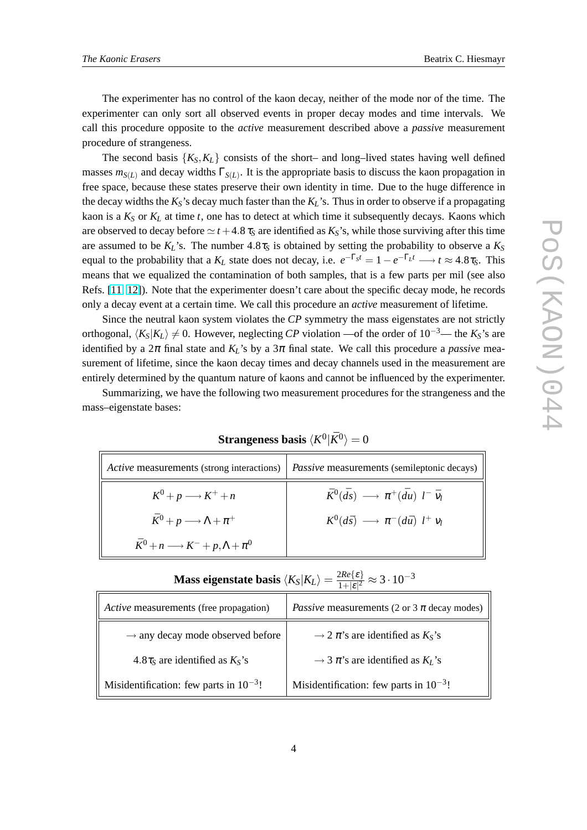The experimenter has no control of the kaon decay, neither of the mode nor of the time. The experimenter can only sort all observed events in proper decay modes and time intervals. We call this procedure opposite to the *active* measurement described above a *passive* measurement procedure of strangeness.

The second basis  $\{K_S, K_L\}$  consists of the short– and long–lived states having well defined masses  $m_{S(L)}$  and decay widths  $\Gamma_{S(L)}$ . It is the appropriate basis to discuss the kaon propagation in free space, because these states preserve their own identity in time. Due to the huge difference in the decay widths the  $K_S$ 's decay much faster than the  $K_L$ 's. Thus in order to observe if a propagating kaon is a  $K_S$  or  $K_L$  at time  $t$ , one has to detect at which time it subsequently decays. Kaons which are observed to decay before  $\simeq t + 4.8 \tau_s$  are identified as  $K_s$ 's, while those surviving after this time are assumed to be  $K_L$ 's. The number  $4.8\tau_S$  is obtained by setting the probability to observe a  $K_S$ equal to the probability that a  $K_L$  state does not decay, i.e.  $e^{-\Gamma_S t} = 1 - e^{-\Gamma_L t} \longrightarrow t \approx 4.8\tau_S$ . This means that we equalized the contamination of both samples, that is a few parts per mil (see also Refs. [\[11,](#page-8-0) [12\]](#page-8-0)). Note that the experimenter doesn't care about the specific decay mode, he records only a decay event at a certain time. We call this procedure an *active* measurement of lifetime.

Since the neutral kaon system violates the *CP* symmetry the mass eigenstates are not strictly orthogonal,  $\langle K_S|K_L\rangle \neq 0$ . However, neglecting *CP* violation —of the order of 10<sup>-3</sup>— the  $K_S$ 's are identified by a  $2\pi$  final state and  $K_L$ 's by a  $3\pi$  final state. We call this procedure a *passive* measurement of lifetime, since the kaon decay times and decay channels used in the measurement are entirely determined by the quantum nature of kaons and cannot be influenced by the experimenter.

Summarizing, we have the following two measurement procedures for the strangeness and the mass–eigenstate bases:

# $\mathbf{Strangeness \: basis} \: \langle K^0 | \bar K^0 \rangle = 0$

| Active measurements (strong interactions)                | <i>Passive</i> measurements (semileptonic decays)                      |
|----------------------------------------------------------|------------------------------------------------------------------------|
| $K^0 + p \longrightarrow K^+ + n$                        | $\bar{K}^0(\bar{d}s) \longrightarrow \pi^+(\bar{d}u)$ $l^-\bar{\nu}_l$ |
| $\bar{K}^0 + p \longrightarrow \Lambda + \pi^+$          | $K^0(d\bar{s}) \longrightarrow \pi^{-}(d\bar{u}) l^{+} v_l$            |
| $\bar{K}^0 + n \longrightarrow K^- + p, \Lambda + \pi^0$ |                                                                        |

| Active measurements (free propagation)       | <i>Passive</i> measurements (2 or 3 $\pi$ decay modes) |
|----------------------------------------------|--------------------------------------------------------|
| $\rightarrow$ any decay mode observed before | $\rightarrow$ 2 $\pi$ 's are identified as $K_S$ 's    |
| 4.8 $\tau_s$ are identified as $K_s$ 's      | $\rightarrow$ 3 $\pi$ 's are identified as $K_L$ 's    |
| Misidentification: few parts in $10^{-3}$ !  | Misidentification: few parts in $10^{-3}$ !            |

**Mass eigenstate basis**  $\langle K_S|K_L\rangle = \frac{2Re\{\epsilon\}}{1+|s|^2}$  $\frac{2 Re \{ \varepsilon \}}{1+|\varepsilon|^2} \approx 3 \cdot 10^{-3}$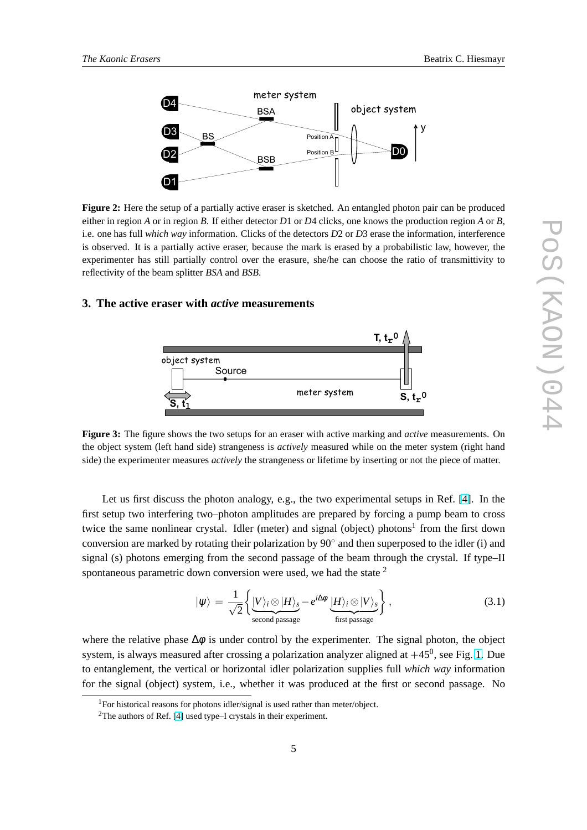<span id="page-4-0"></span>

**Figure 2:** Here the setup of a partially active eraser is sketched. An entangled photon pair can be produced either in region *A* or in region *B*. If either detector *D*1 or *D*4 clicks, one knows the production region *A* or *B*, i.e. one has full *which way* information. Clicks of the detectors *D*2 or *D*3 erase the information, interference is observed. It is a partially active eraser, because the mark is erased by a probabilistic law, however, the experimenter has still partially control over the erasure, she/he can choose the ratio of transmittivity to reflectivity of the beam splitter *BSA* and *BSB*.

### **3. The active eraser with** *active* **measurements**



**Figure 3:** The figure shows the two setups for an eraser with active marking and *active* measurements. On the object system (left hand side) strangeness is *actively* measured while on the meter system (right hand side) the experimenter measures *actively* the strangeness or lifetime by inserting or not the piece of matter.

Let us first discuss the photon analogy, e.g., the two experimental setups in Ref. [\[4\]](#page-8-0). In the first setup two interfering two–photon amplitudes are prepared by forcing a pump beam to cross twice the same nonlinear crystal. Idler (meter) and signal (object) photons<sup>1</sup> from the first down conversion are marked by rotating their polarization by 90° and then superposed to the idler (i) and signal (s) photons emerging from the second passage of the beam through the crystal. If type–II spontaneous parametric down conversion were used, we had the state  $2$ 

$$
|\psi\rangle = \frac{1}{\sqrt{2}} \left\{ \underbrace{|V\rangle_i \otimes |H\rangle_s}_{\text{second passage}} - e^{i\Delta\phi} \underbrace{|H\rangle_i \otimes |V\rangle_s}_{\text{first passage}} \right\},
$$
 (3.1)

where the relative phase  $\Delta \phi$  is under control by the experimenter. The signal photon, the object system, is always measured after crossing a polarization analyzer aligned at  $+45^0$ , see Fig. [1.](#page-2-0) Due to entanglement, the vertical or horizontal idler polarization supplies full *which way* information for the signal (object) system, i.e., whether it was produced at the first or second passage. No

<sup>&</sup>lt;sup>1</sup>For historical reasons for photons idler/signal is used rather than meter/object.

 $2$ The authors of Ref. [\[4\]](#page-8-0) used type–I crystals in their experiment.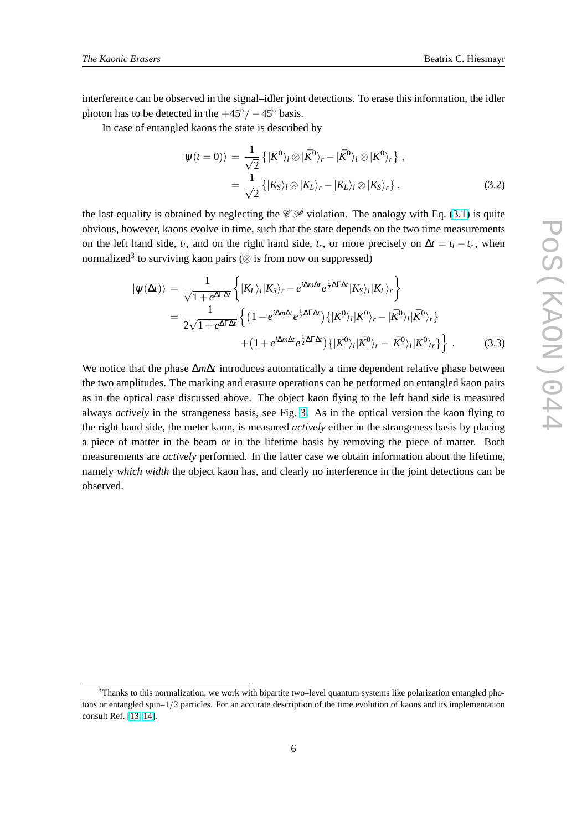interference can be observed in the signal–idler joint detections. To erase this information, the idler photon has to be detected in the  $+45°/-45°$  basis.

In case of entangled kaons the state is described by

$$
\begin{split} |\psi(t=0)\rangle &= \frac{1}{\sqrt{2}} \left\{ |K^0\rangle_l \otimes |\bar{K}^0\rangle_r - |\bar{K}^0\rangle_l \otimes |K^0\rangle_r \right\}, \\ &= \frac{1}{\sqrt{2}} \left\{ |K_S\rangle_l \otimes |K_L\rangle_r - |K_L\rangle_l \otimes |K_S\rangle_r \right\}, \end{split} \tag{3.2}
$$

the last equality is obtained by neglecting the  $\mathscr{CD}$  violation. The analogy with Eq. [\(3.1\)](#page-4-0) is quite obvious, however, kaons evolve in time, such that the state depends on the two time measurements on the left hand side,  $t_l$ , and on the right hand side,  $t_r$ , or more precisely on  $\Delta t = t_l - t_r$ , when normalized<sup>3</sup> to surviving kaon pairs ( $\otimes$  is from now on suppressed)

$$
|\psi(\Delta t)\rangle = \frac{1}{\sqrt{1 + e^{\Delta\Gamma\Delta t}}} \left\{ |K_L\rangle_l |K_S\rangle_r - e^{i\Delta m\Delta t} e^{\frac{1}{2}\Delta\Gamma\Delta t} |K_S\rangle_l |K_L\rangle_r \right\}
$$
  
= 
$$
\frac{1}{2\sqrt{1 + e^{\Delta\Gamma\Delta t}}} \left\{ (1 - e^{i\Delta m\Delta t} e^{\frac{1}{2}\Delta\Gamma\Delta t}) \{ |K^0\rangle_l |K^0\rangle_r - |\bar{K}^0\rangle_l |\bar{K}^0\rangle_r \} + (1 + e^{i\Delta m\Delta t} e^{\frac{1}{2}\Delta\Gamma\Delta t}) \{ |K^0\rangle_l |\bar{K}^0\rangle_r - |\bar{K}^0\rangle_l |K^0\rangle_r \} \right\}.
$$
(3.3)

We notice that the phase ∆*m*∆*t* introduces automatically a time dependent relative phase between the two amplitudes. The marking and erasure operations can be performed on entangled kaon pairs as in the optical case discussed above. The object kaon flying to the left hand side is measured always *actively* in the strangeness basis, see Fig. [3.](#page-4-0) As in the optical version the kaon flying to the right hand side, the meter kaon, is measured *actively* either in the strangeness basis by placing a piece of matter in the beam or in the lifetime basis by removing the piece of matter. Both measurements are *actively* performed. In the latter case we obtain information about the lifetime, namely *which width* the object kaon has, and clearly no interference in the joint detections can be observed.

 $3$ Thanks to this normalization, we work with bipartite two–level quantum systems like polarization entangled photons or entangled spin–1/2 particles. For an accurate description of the time evolution of kaons and its implementation consult Ref. [\[13,](#page-8-0) [14\]](#page-8-0).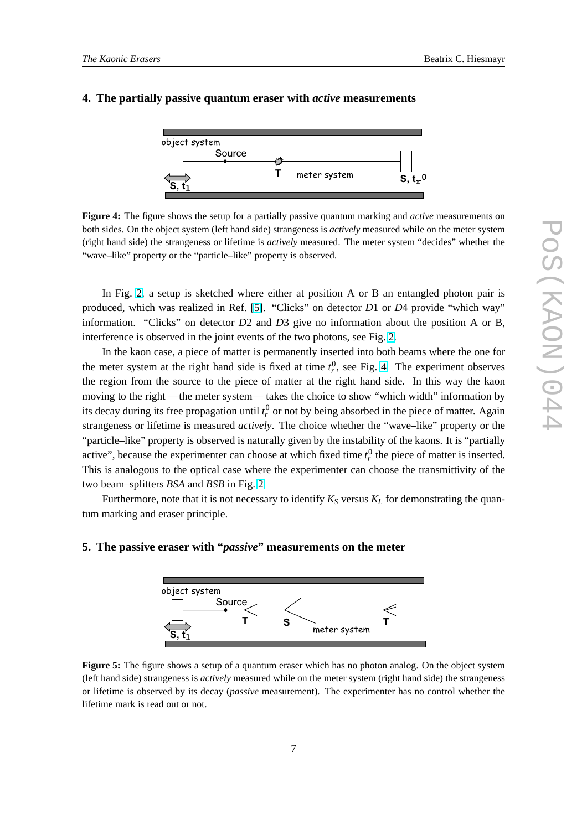#### <span id="page-6-0"></span>**4. The partially passive quantum eraser with** *active* **measurements**



**Figure 4:** The figure shows the setup for a partially passive quantum marking and *active* measurements on both sides. On the object system (left hand side) strangeness is *actively* measured while on the meter system (right hand side) the strangeness or lifetime is *actively* measured. The meter system "decides" whether the "wave–like" property or the "particle–like" property is observed.

In Fig. [2,](#page-4-0) a setup is sketched where either at position A or B an entangled photon pair is produced, which was realized in Ref. [\[5\]](#page-8-0). "Clicks" on detector *D*1 or *D*4 provide "which way" information. "Clicks" on detector *D*2 and *D*3 give no information about the position A or B, interference is observed in the joint events of the two photons, see Fig. [2.](#page-4-0)

In the kaon case, a piece of matter is permanently inserted into both beams where the one for the meter system at the right hand side is fixed at time  $t_r^0$ , see Fig. 4. The experiment observes the region from the source to the piece of matter at the right hand side. In this way the kaon moving to the right —the meter system— takes the choice to show "which width" information by its decay during its free propagation until  $t_r^0$  or not by being absorbed in the piece of matter. Again strangeness or lifetime is measured *actively*. The choice whether the "wave–like" property or the "particle–like" property is observed is naturally given by the instability of the kaons. It is "partially active", because the experimenter can choose at which fixed time  $t_r^0$  the piece of matter is inserted. This is analogous to the optical case where the experimenter can choose the transmittivity of the two beam–splitters *BSA* and *BSB* in Fig. [2.](#page-4-0)

Furthermore, note that it is not necessary to identify  $K_S$  versus  $K_L$  for demonstrating the quantum marking and eraser principle.

# $\mathsf{s},\mathfrak{t}_1$ Source **T** object system meter system **S T**

### **5. The passive eraser with "***passive***" measurements on the meter**

**Figure 5:** The figure shows a setup of a quantum eraser which has no photon analog. On the object system (left hand side) strangeness is *actively* measured while on the meter system (right hand side) the strangeness or lifetime is observed by its decay (*passive* measurement). The experimenter has no control whether the lifetime mark is read out or not.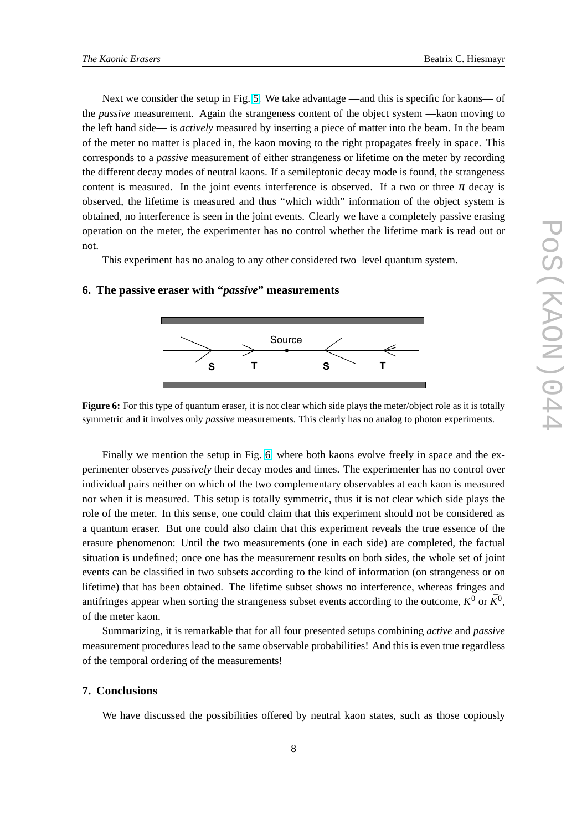Next we consider the setup in Fig. [5.](#page-6-0) We take advantage —and this is specific for kaons— of the *passive* measurement. Again the strangeness content of the object system —kaon moving to the left hand side— is *actively* measured by inserting a piece of matter into the beam. In the beam of the meter no matter is placed in, the kaon moving to the right propagates freely in space. This corresponds to a *passive* measurement of either strangeness or lifetime on the meter by recording the different decay modes of neutral kaons. If a semileptonic decay mode is found, the strangeness content is measured. In the joint events interference is observed. If a two or three  $\pi$  decay is observed, the lifetime is measured and thus "which width" information of the object system is obtained, no interference is seen in the joint events. Clearly we have a completely passive erasing operation on the meter, the experimenter has no control whether the lifetime mark is read out or not.

This experiment has no analog to any other considered two–level quantum system.

### **6. The passive eraser with "***passive***" measurements**



**Figure 6:** For this type of quantum eraser, it is not clear which side plays the meter/object role as it is totally symmetric and it involves only *passive* measurements. This clearly has no analog to photon experiments.

Finally we mention the setup in Fig. 6, where both kaons evolve freely in space and the experimenter observes *passively* their decay modes and times. The experimenter has no control over individual pairs neither on which of the two complementary observables at each kaon is measured nor when it is measured. This setup is totally symmetric, thus it is not clear which side plays the role of the meter. In this sense, one could claim that this experiment should not be considered as a quantum eraser. But one could also claim that this experiment reveals the true essence of the erasure phenomenon: Until the two measurements (one in each side) are completed, the factual situation is undefined; once one has the measurement results on both sides, the whole set of joint events can be classified in two subsets according to the kind of information (on strangeness or on lifetime) that has been obtained. The lifetime subset shows no interference, whereas fringes and antifringes appear when sorting the strangeness subset events according to the outcome,  $K^0$  or  $\bar{K}^0$ , of the meter kaon.

Summarizing, it is remarkable that for all four presented setups combining *active* and *passive* measurement procedures lead to the same observable probabilities! And this is even true regardless of the temporal ordering of the measurements!

# **7. Conclusions**

We have discussed the possibilities offered by neutral kaon states, such as those copiously